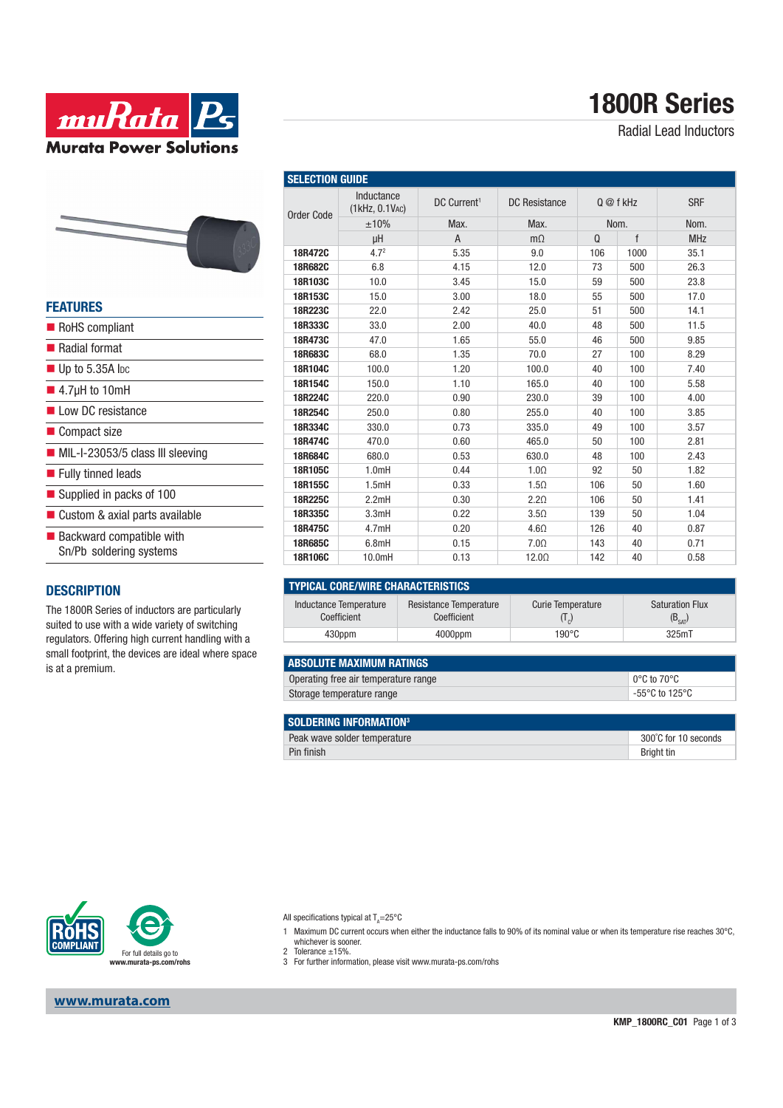

Radial Lead Inductors





| <b>FEATURES</b>                                            |
|------------------------------------------------------------|
| RoHS compliant                                             |
| ■ Radial format                                            |
| $\blacksquare$ Up to 5.35A lpc                             |
| $\blacksquare$ 4.7µH to 10mH                               |
| Low DC resistance                                          |
| ■ Compact size                                             |
| $\blacksquare$ MIL-I-23053/5 class III sleeving            |
| ■ Fully tinned leads                                       |
| Supplied in packs of 100                                   |
| ■ Custom & axial parts available                           |
| <b>Backward compatible with</b><br>Sn/Pb soldering systems |
|                                                            |

#### **DESCRIPTION**

The 1800R Series of inductors are particularly suited to use with a wide variety of switching regulators. Offering high current handling with a small footprint, the devices are ideal where space is at a premium.

| <b>OELEVITUR QUIDE</b> |                              |                         |                                                                 |           |      |            |
|------------------------|------------------------------|-------------------------|-----------------------------------------------------------------|-----------|------|------------|
| <b>Order Code</b>      | Inductance<br>(1kHz, 0.1VAC) | DC Current <sup>1</sup> | <b>DC</b> Resistance                                            | Q @ f kHz |      | <b>SRF</b> |
|                        | ±10%                         | Max.                    | Max.                                                            | Nom.      |      | Nom.       |
|                        | μH                           | A                       | $m\Omega$                                                       | $\Omega$  | f    | <b>MHz</b> |
| 18R472C                | 4.7 <sup>2</sup>             | 5.35                    | 9.0                                                             | 106       | 1000 | 35.1       |
| 18R682C                | 6.8                          | 4.15                    | 12.0                                                            | 73        | 500  | 26.3       |
| 18R103C                | 10.0                         | 3.45                    | 15.0                                                            | 59        | 500  | 23.8       |
| 18R153C                | 15.0                         | 3.00                    | 18.0                                                            | 55        | 500  | 17.0       |
| 18R223C                | 22.0                         | 2.42                    | 25.0                                                            | 51        | 500  | 14.1       |
| 18R333C                | 33.0                         | 2.00                    | 40.0                                                            | 48        | 500  | 11.5       |
| 18R473C                | 47.0                         | 1.65                    | 55.0                                                            | 46        | 500  | 9.85       |
| 18R683C                | 68.0                         | 1.35                    | 70.0                                                            | 27        | 100  | 8.29       |
| 18R104C                | 100.0                        | 1.20                    | 100.0                                                           | 40        | 100  | 7.40       |
| 18R154C                | 150.0                        | 1.10                    | 165.0                                                           | 40        | 100  | 5.58       |
| 18R224C                | 220.0                        | 0.90                    | 230.0                                                           | 39        | 100  | 4.00       |
| 18R254C                | 250.0                        | 0.80                    | 255.0                                                           | 40        | 100  | 3.85       |
| 18R334C                | 330.0                        | 0.73                    | 335.0                                                           | 49        | 100  | 3.57       |
| 18R474C                | 470.0                        | 0.60                    | 465.0                                                           | 50        | 100  | 2.81       |
| 18R684C                | 680.0                        | 0.53                    | 630.0                                                           | 48        | 100  | 2.43       |
| 18R105C                | 1.0mH                        | 0.44                    | $1.0\Omega$                                                     | 92        | 50   | 1.82       |
| 18R155C                | 1.5mH                        | 0.33                    | $1.5\Omega$                                                     | 106       | 50   | 1.60       |
| 18R225C                | 2.2mH                        | 0.30                    | 2.2 <sub>Ω</sub>                                                | 106       | 50   | 1.41       |
| 18R335C                | 3.3mH                        | 0.22                    | 3.5 <sub>Ω</sub>                                                | 139       | 50   | 1.04       |
| 18R475C                | 4.7mH                        | 0.20                    | 4.6 <omega< td=""><td>126</td><td>40</td><td>0.87</td></omega<> | 126       | 40   | 0.87       |
| 18R685C                | 6.8mH                        | 0.15                    | $7.0\Omega$                                                     | 143       | 40   | 0.71       |
| 18R106C                | 10.0mH                       | 0.13                    | $12.0\Omega$                                                    | 142       | 40   | 0.58       |

| <b>TYPICAL CORE/WIRE CHARACTERISTICS</b> |                                       |                                           |                                               |  |  |  |  |  |
|------------------------------------------|---------------------------------------|-------------------------------------------|-----------------------------------------------|--|--|--|--|--|
| Inductance Temperature<br>Coefficient    | Resistance Temperature<br>Coefficient | <b>Curie Temperature</b><br>$(1_{\circ})$ | <b>Saturation Flux</b><br>(B <sub>cat</sub> ) |  |  |  |  |  |
| 430ppm                                   | $4000$ ppm                            | $190^{\circ}$ C                           | 325mT                                         |  |  |  |  |  |

| <b>ABSOLUTE MAXIMUM RATINGS</b>      |                                     |  |  |  |
|--------------------------------------|-------------------------------------|--|--|--|
| Operating free air temperature range | $\mid$ 0°C to 70°C                  |  |  |  |
| Storage temperature range            | $-55^{\circ}$ C to 125 $^{\circ}$ C |  |  |  |

| SOLDERING INFORMATION <sup>3</sup> |                      |
|------------------------------------|----------------------|
| Peak wave solder temperature       | 300°C for 10 seconds |
| Pin finish                         | Bright tin           |



**www.murata.com**

All specifications typical at T<sub>A</sub>=25°C

**SELECTION GUIDE**

- 1 Maximum DC current occurs when either the inductance falls to 90% of its nominal value or when its temperature rise reaches 30°C, whichever is sooner.
- 
- 2 Tolerance ±15%. 3 For further information, please visit www.murata-ps.com/rohs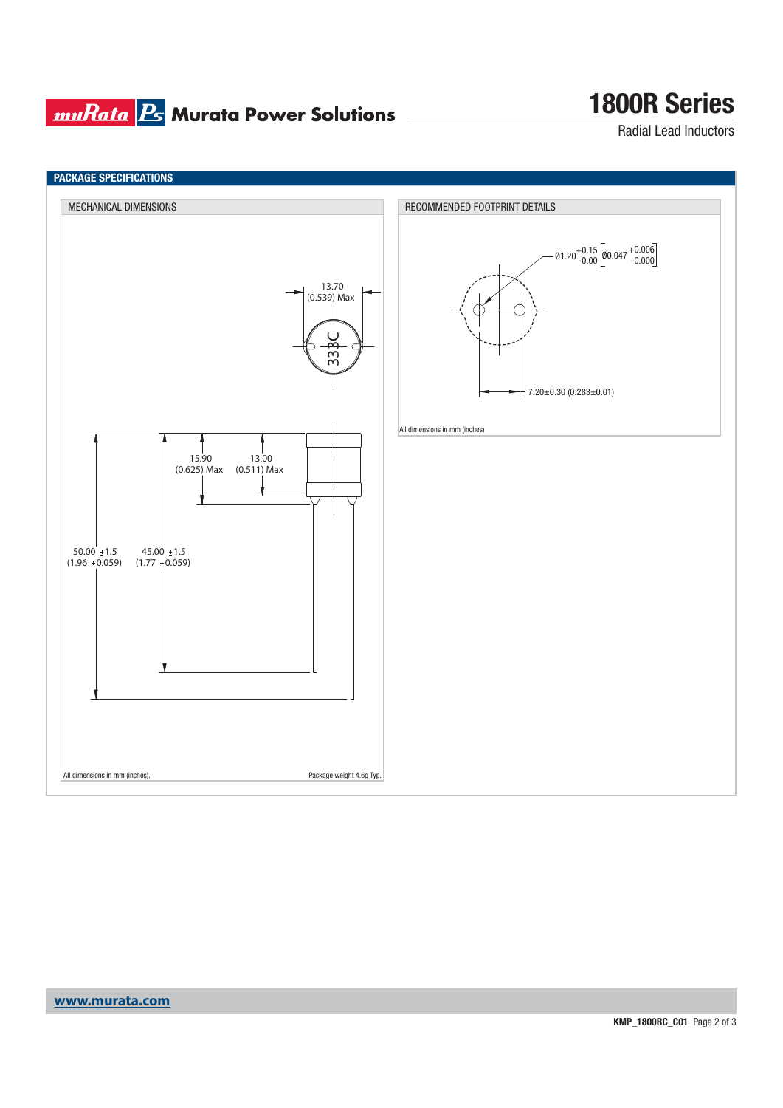## **muRata B** Murata Power Solutions

## **1800R Series**

Radial Lead Inductors